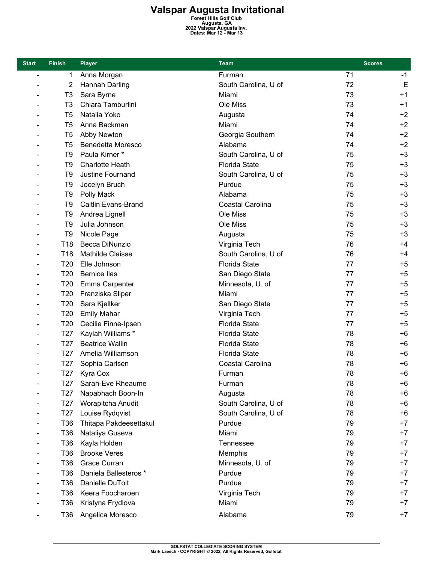## **Valspar Augusta Invitational**<br>
Forest Hills Golf Club<br>
Augusta, GA<br>
<sup>2022 Valspar Augusta Inv.<br>
Dates: Mar 12 - Mar 13</sup>

| <b>Start</b>             | <b>Finish</b>   | <b>Player</b>            | <b>Team</b>          | <b>Scores</b> |      |
|--------------------------|-----------------|--------------------------|----------------------|---------------|------|
| $\overline{\phantom{0}}$ | 1               | Anna Morgan              | Furman               | 71            | $-1$ |
|                          | 2               | Hannah Darling           | South Carolina, U of | 72            | E    |
|                          | T <sub>3</sub>  | Sara Byrne               | Miami                | 73            | $+1$ |
|                          | T <sub>3</sub>  | Chiara Tamburlini        | Ole Miss             | 73            | $+1$ |
|                          | T <sub>5</sub>  | Natalia Yoko             | Augusta              | 74            | $+2$ |
|                          | T5              | Anna Backman             | Miami                | 74            | $+2$ |
|                          | T <sub>5</sub>  | Abby Newton              | Georgia Southern     | 74            | $+2$ |
|                          | T <sub>5</sub>  | <b>Benedetta Moresco</b> | Alabama              | 74            | $+2$ |
|                          | T9              | Paula Kirner*            | South Carolina, U of | 75            | $+3$ |
|                          | T9              | <b>Charlotte Heath</b>   | <b>Florida State</b> | 75            | $+3$ |
|                          | T <sub>9</sub>  | Justine Fournand         | South Carolina, U of | 75            | $+3$ |
|                          | T9              | Jocelyn Bruch            | Purdue               | 75            | $+3$ |
|                          | T9              | Polly Mack               | Alabama              | 75            | $+3$ |
|                          | T <sub>9</sub>  | Caitlin Evans-Brand      | Coastal Carolina     | 75            | $+3$ |
|                          | T9              | Andrea Lignell           | Ole Miss             | 75            | $+3$ |
|                          | T9              | Julia Johnson            | Ole Miss             | 75            | $+3$ |
|                          | T <sub>9</sub>  | Nicole Page              | Augusta              | 75            | $+3$ |
|                          | T <sub>18</sub> | Becca DiNunzio           | Virginia Tech        | 76            | $+4$ |
|                          | T18             | Mathilde Claisse         | South Carolina, U of | 76            | $+4$ |
|                          | T <sub>20</sub> | Elle Johnson             | <b>Florida State</b> | 77            | $+5$ |
|                          | T <sub>20</sub> | <b>Bernice Ilas</b>      | San Diego State      | 77            | $+5$ |
|                          | T <sub>20</sub> | Emma Carpenter           | Minnesota, U. of     | 77            | $+5$ |
|                          | T <sub>20</sub> | Franziska Sliper         | Miami                | 77            | $+5$ |
|                          | T <sub>20</sub> | Sara Kjellker            | San Diego State      | 77            | $+5$ |
|                          | T20             | <b>Emily Mahar</b>       | Virginia Tech        | 77            | $+5$ |
|                          | T <sub>20</sub> | Cecilie Finne-Ipsen      | <b>Florida State</b> | 77            | $+5$ |
|                          | T <sub>27</sub> | Kaylah Williams *        | <b>Florida State</b> | 78            | $+6$ |
|                          | T <sub>27</sub> | <b>Beatrice Wallin</b>   | <b>Florida State</b> | 78            | $+6$ |
|                          | T <sub>27</sub> | Amelia Williamson        | <b>Florida State</b> | 78            | $+6$ |
|                          | T <sub>27</sub> | Sophia Carlsen           | Coastal Carolina     | 78            | $+6$ |
|                          | T <sub>27</sub> | Kyra Cox                 | Furman               | 78            | $+6$ |
|                          | T27             | Sarah-Eve Rheaume        | Furman               | 78            | $+6$ |
|                          | T <sub>27</sub> | Napabhach Boon-In        | Augusta              | 78            | $+6$ |
|                          | T27             | Worapitcha Anudit        | South Carolina, U of | 78            | $+6$ |
|                          | T27             | Louise Rydqvist          | South Carolina, U of | 78            | $+6$ |
|                          | T36             | Thitapa Pakdeesettakul   | Purdue               | 79            | $+7$ |
|                          | T36             | Nataliya Guseva          | Miami                | 79            | $+7$ |
|                          | T36             | Kayla Holden             | Tennessee            | 79            | $+7$ |
|                          | T36             | <b>Brooke Veres</b>      | Memphis              | 79            | $+7$ |
|                          | T36             | Grace Curran             | Minnesota, U. of     | 79            | $+7$ |
|                          | T36             | Daniela Ballesteros *    | Purdue               | 79            | $+7$ |
|                          | T36             | Danielle DuToit          | Purdue               | 79            | $+7$ |
|                          | T36             | Keera Foocharoen         | Virginia Tech        | 79            | $+7$ |
|                          | T36             | Kristyna Frydlova        | Miami                | 79            | $+7$ |
|                          | T36             | Angelica Moresco         | Alabama              | 79            | $+7$ |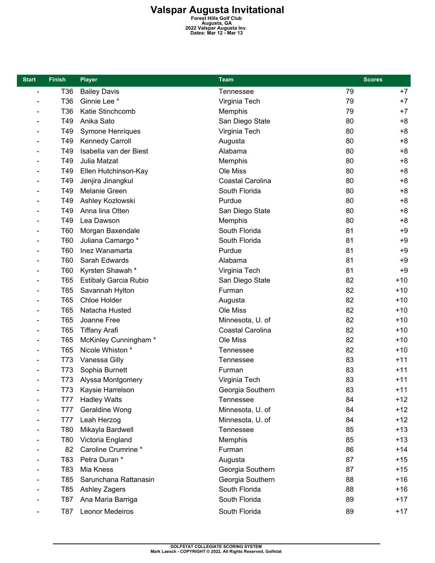## **Valspar Augusta Invitational**<br>
Forest Hills Golf Club<br>
Augusta, GA<br>
<sup>2022 Valspar Augusta Inv.<br>
Dates: Mar 12 - Mar 13</sup>

| <b>Start</b>                 | <b>Finish</b> | <b>Player</b>                | <b>Team</b>      | <b>Scores</b> |       |
|------------------------------|---------------|------------------------------|------------------|---------------|-------|
| $\overline{\phantom{0}}$     | T36           | <b>Bailey Davis</b>          | Tennessee        | 79            | $+7$  |
|                              | T36           | Ginnie Lee <sup>*</sup>      | Virginia Tech    | 79            | $+7$  |
|                              | T36           | Katie Stinchcomb             | Memphis          | 79            | $+7$  |
|                              | T49           | Anika Sato                   | San Diego State  | 80            | $+8$  |
|                              | T49           | Symone Henriques             | Virginia Tech    | 80            | $+8$  |
|                              | T49           | Kennedy Carroll              | Augusta          | 80            | $+8$  |
|                              | T49           | Isabella van der Biest       | Alabama          | 80            | $+8$  |
|                              | T49           | Julia Matzat                 | Memphis          | 80            | $+8$  |
|                              | T49           | Ellen Hutchinson-Kay         | Ole Miss         | 80            | $+8$  |
|                              | T49           | Jenjira Jinangkul            | Coastal Carolina | 80            | $+8$  |
| $\qquad \qquad \blacksquare$ | T49           | Melanie Green                | South Florida    | 80            | $+8$  |
|                              | T49           | Ashley Kozlowski             | Purdue           | 80            | $+8$  |
|                              | T49           | Anna lina Otten              | San Diego State  | 80            | $+8$  |
|                              | T49           | Lea Dawson                   | Memphis          | 80            | $+8$  |
|                              | T60           | Morgan Baxendale             | South Florida    | 81            | $+9$  |
|                              | T60           | Juliana Camargo *            | South Florida    | 81            | $+9$  |
|                              | T60           | Inez Wanamarta               | Purdue           | 81            | $+9$  |
|                              | T60           | Sarah Edwards                | Alabama          | 81            | $+9$  |
|                              | T60           | Kyrsten Shawah*              | Virginia Tech    | 81            | $+9$  |
|                              | <b>T65</b>    | <b>Estibaly Garcia Rubio</b> | San Diego State  | 82            | $+10$ |
|                              | T65           | Savannah Hylton              | Furman           | 82            | $+10$ |
|                              | T65           | Chloe Holder                 | Augusta          | 82            | $+10$ |
|                              | T65           | Natacha Husted               | Ole Miss         | 82            | $+10$ |
|                              | T65           | Joanne Free                  | Minnesota, U. of | 82            | $+10$ |
|                              | <b>T65</b>    | <b>Tiffany Arafi</b>         | Coastal Carolina | 82            | $+10$ |
|                              | <b>T65</b>    | McKinley Cunningham *        | Ole Miss         | 82            | $+10$ |
|                              | T65           | Nicole Whiston *             | Tennessee        | 82            | $+10$ |
|                              | T73           | Vanessa Gilly                | Tennessee        | 83            | $+11$ |
|                              | T73           | Sophia Burnett               | Furman           | 83            | $+11$ |
|                              | T73           | Alyssa Montgomery            | Virginia Tech    | 83            | $+11$ |
|                              | T73           | Kaysie Harrelson             | Georgia Southern | 83            | $+11$ |
|                              | T77           | <b>Hadley Walts</b>          | Tennessee        | 84            | +12   |
|                              | <b>T77</b>    | Geraldine Wong               | Minnesota, U. of | 84            | $+12$ |
|                              | <b>T77</b>    | Leah Herzog                  | Minnesota, U. of | 84            | $+12$ |
|                              | T80           | Mikayla Bardwell             | Tennessee        | 85            | $+13$ |
|                              | T80           | Victoria England             | Memphis          | 85            | $+13$ |
|                              | 82            | Caroline Crumrine *          | Furman           | 86            | $+14$ |
|                              | T83           | Petra Duran *                | Augusta          | 87            | $+15$ |
|                              | T83           | Mia Kness                    | Georgia Southern | 87            | $+15$ |
|                              | T85           | Sarunchana Rattanasin        | Georgia Southern | 88            | $+16$ |
|                              | T85           | <b>Ashley Zagers</b>         | South Florida    | 88            | $+16$ |
|                              | T87           | Ana Maria Barriga            | South Florida    | 89            | $+17$ |
|                              | T87           | Leonor Medeiros              | South Florida    | 89            | $+17$ |